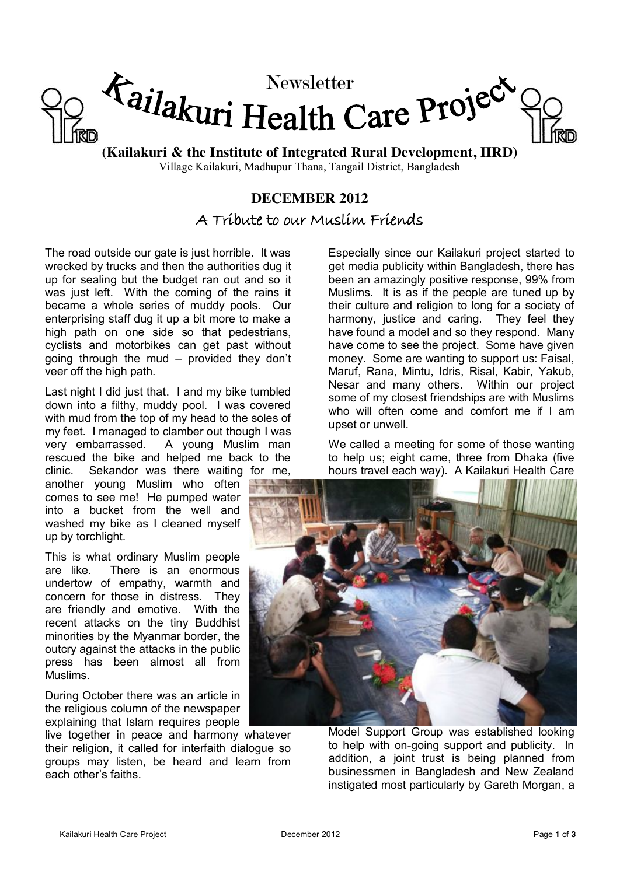

**(Kailakuri & the Institute of Integrated Rural Development, IIRD)** Village Kailakuri, Madhupur Thana, Tangail District, Bangladesh

### **DECEMBER 2012**

A Tribute to our Muslim Friends

The road outside our gate is just horrible. It was wrecked by trucks and then the authorities dug it up for sealing but the budget ran out and so it was just left. With the coming of the rains it became a whole series of muddy pools. Our enterprising staff dug it up a bit more to make a high path on one side so that pedestrians, cyclists and motorbikes can get past without going through the mud – provided they don't veer off the high path.

Last night I did just that. I and my bike tumbled down into a filthy, muddy pool. I was covered with mud from the top of my head to the soles of my feet. I managed to clamber out though I was very embarrassed. A young Muslim man rescued the bike and helped me back to the clinic. Sekandor was there waiting for me,

another young Muslim who often comes to see me! He pumped water into a bucket from the well and washed my bike as I cleaned myself up by torchlight.

This is what ordinary Muslim people are like. There is an enormous undertow of empathy, warmth and concern for those in distress. They are friendly and emotive. With the recent attacks on the tiny Buddhist minorities by the Myanmar border, the outcry against the attacks in the public press has been almost all from Muslims.

During October there was an article in the religious column of the newspaper explaining that Islam requires people

live together in peace and harmony whatever their religion, it called for interfaith dialogue so groups may listen, be heard and learn from each other's faiths.

Especially since our Kailakuri project started to get media publicity within Bangladesh, there has been an amazingly positive response, 99% from Muslims. It is as if the people are tuned up by their culture and religion to long for a society of harmony, justice and caring. They feel they have found a model and so they respond. Many have come to see the project. Some have given money. Some are wanting to support us: Faisal, Maruf, Rana, Mintu, Idris, Risal, Kabir, Yakub, Nesar and many others. Within our project some of my closest friendships are with Muslims who will often come and comfort me if I am upset or unwell.

We called a meeting for some of those wanting to help us; eight came, three from Dhaka (five hours travel each way). A Kailakuri Health Care



Model Support Group was established looking to help with on-going support and publicity. In addition, a joint trust is being planned from businessmen in Bangladesh and New Zealand instigated most particularly by Gareth Morgan, a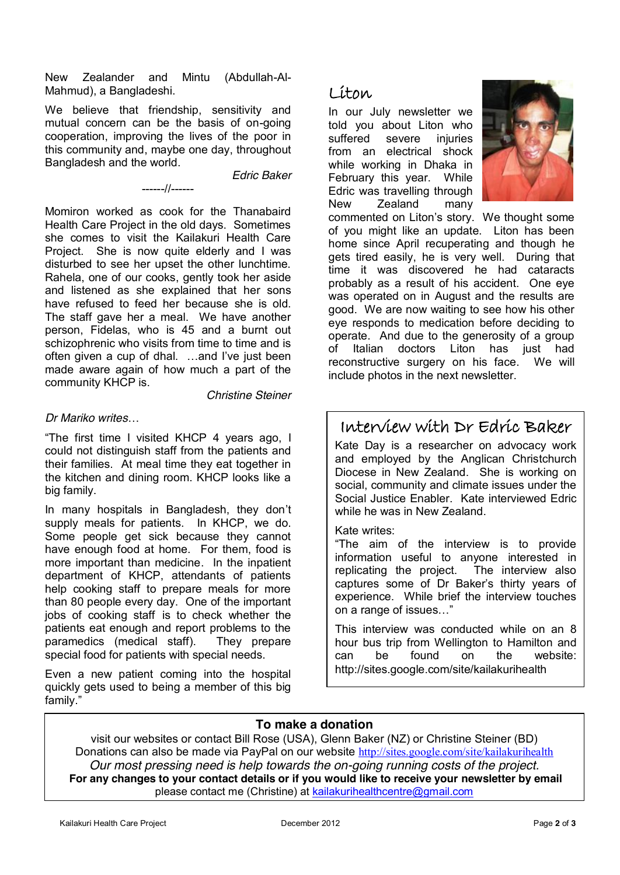New Zealander and Mintu (Abdullah-Al-Mahmud), a Bangladeshi.

We believe that friendship, sensitivity and mutual concern can be the basis of on-going cooperation, improving the lives of the poor in this community and, maybe one day, throughout Bangladesh and the world.

------//------

#### *Edric Baker*

Momiron worked as cook for the Thanabaird Health Care Project in the old days. Sometimes she comes to visit the Kailakuri Health Care Project. She is now quite elderly and I was disturbed to see her upset the other lunchtime. Rahela, one of our cooks, gently took her aside and listened as she explained that her sons have refused to feed her because she is old. The staff gave her a meal. We have another person, Fidelas, who is 45 and a burnt out schizophrenic who visits from time to time and is often given a cup of dhal. …and I've just been made aware again of how much a part of the community KHCP is.

*Christine Steiner*

#### *Dr Mariko writes*…

"The first time I visited KHCP 4 years ago, I could not distinguish staff from the patients and their families. At meal time they eat together in the kitchen and dining room. KHCP looks like a big family.

In many hospitals in Bangladesh, they don't supply meals for patients. In KHCP, we do. Some people get sick because they cannot have enough food at home. For them, food is more important than medicine. In the inpatient department of KHCP, attendants of patients help cooking staff to prepare meals for more than 80 people every day. One of the important jobs of cooking staff is to check whether the patients eat enough and report problems to the paramedics (medical staff). They prepare special food for patients with special needs.

Even a new patient coming into the hospital quickly gets used to being a member of this big family."

### Liton

In our July newsletter we told you about Liton who suffered severe injuries from an electrical shock while working in Dhaka in February this year. While Edric was travelling through New Zealand many



commented on Liton's story. We thought some of you might like an update. Liton has been home since April recuperating and though he gets tired easily, he is very well. During that time it was discovered he had cataracts probably as a result of his accident. One eye was operated on in August and the results are good. We are now waiting to see how his other eye responds to medication before deciding to operate. And due to the generosity of a group of Italian doctors Liton has just had reconstructive surgery on his face. We will include photos in the next newsletter.

### Interview with Dr Edric Baker

Kate Day is a researcher on advocacy work and employed by the Anglican Christchurch Diocese in New Zealand. She is working on social, community and climate issues under the Social Justice Enabler. Kate interviewed Edric while he was in New Zealand.

#### Kate writes:

"The aim of the interview is to provide information useful to anyone interested in replicating the project. The interview also captures some of Dr Baker's thirty years of experience. While brief the interview touches on a range of issues…"

This interview was conducted while on an 8 hour bus trip from Wellington to Hamilton and can be found on the website: http://sites.google.com/site/kailakurihealth

### **To make a donation**

visit our websites or contact Bill Rose (USA), Glenn Baker (NZ) or Christine Steiner (BD) Donations can also be made via PayPal on our website <http://sites.google.com/site/kailakurihealth> *Our most pressing need is help towards the on-going running costs of the project.* **For any changes to your contact details or if you would like to receive your newsletter by email** please contact me (Christine) at [kailakurihealthcentre@gmail.com](mailto:kailakurihealthcentre@gmail.com)